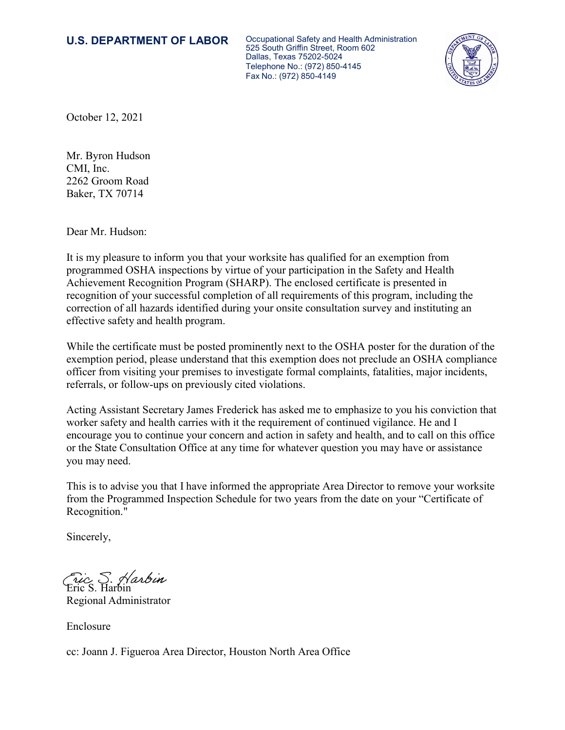**U.S. DEPARTMENT OF LABOR** Occupational Safety and Health Administration 525 South Griffin Street, Room 602 Dallas, Texas 75202-5024 Telephone No.: (972) 850-4145 Fax No.: (972) 850-4149



October 12, 2021

Mr. Byron Hudson CMI, Inc. 2262 Groom Road Baker, TX 70714

Dear Mr. Hudson:

It is my pleasure to inform you that your worksite has qualified for an exemption from programmed OSHA inspections by virtue of your participation in the Safety and Health Achievement Recognition Program (SHARP). The enclosed certificate is presented in recognition of your successful completion of all requirements of this program, including the correction of all hazards identified during your onsite consultation survey and instituting an effective safety and health program.

While the certificate must be posted prominently next to the OSHA poster for the duration of the exemption period, please understand that this exemption does not preclude an OSHA compliance officer from visiting your premises to investigate formal complaints, fatalities, major incidents, referrals, or follow-ups on previously cited violations.

Acting Assistant Secretary James Frederick has asked me to emphasize to you his conviction that worker safety and health carries with it the requirement of continued vigilance. He and I encourage you to continue your concern and action in safety and health, and to call on this office or the State Consultation Office at any time for whatever question you may have or assistance you may need.

This is to advise you that I have informed the appropriate Area Director to remove your worksite from the Programmed Inspection Schedule for two years from the date on your "Certificate of Recognition."

Sincerely,

Eric S. Harbin

Regional Administrator

Enclosure

cc: Joann J. Figueroa Area Director, Houston North Area Office